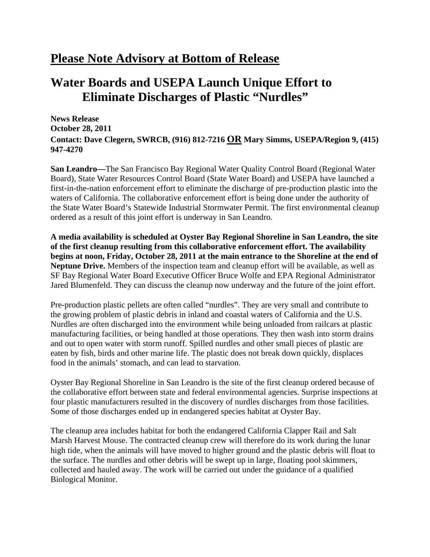## **Please Note Advisory at Bottom of Release**

## **Water Boards and USEPA Launch Unique Effort to Eliminate Discharges of Plastic "Nurdles"**

**News Release October 28, 2011 Contact: Dave Clegern, SWRCB, (916) 812-7216 OR Mary Simms, USEPA/Region 9, (415) 947-4270** 

**San Leandro—**The San Francisco Bay Regional Water Quality Control Board (Regional Water Board), State Water Resources Control Board (State Water Board) and USEPA have launched a first-in-the-nation enforcement effort to eliminate the discharge of pre-production plastic into the waters of California. The collaborative enforcement effort is being done under the authority of the State Water Board's Statewide Industrial Stormwater Permit. The first environmental cleanup ordered as a result of this joint effort is underway in San Leandro.

**A media availability is scheduled at Oyster Bay Regional Shoreline in San Leandro, the site of the first cleanup resulting from this collaborative enforcement effort. The availability begins at noon, Friday, October 28, 2011 at the main entrance to the Shoreline at the end of Neptune Drive.** Members of the inspection team and cleanup effort will be available, as well as SF Bay Regional Water Board Executive Officer Bruce Wolfe and EPA Regional Administrator Jared Blumenfeld. They can discuss the cleanup now underway and the future of the joint effort.

Pre-production plastic pellets are often called "nurdles". They are very small and contribute to the growing problem of plastic debris in inland and coastal waters of California and the U.S. Nurdles are often discharged into the environment while being unloaded from railcars at plastic manufacturing facilities, or being handled at those operations. They then wash into storm drains and out to open water with storm runoff. Spilled nurdles and other small pieces of plastic are eaten by fish, birds and other marine life. The plastic does not break down quickly, displaces food in the animals' stomach, and can lead to starvation.

Oyster Bay Regional Shoreline in San Leandro is the site of the first cleanup ordered because of the collaborative effort between state and federal environmental agencies. Surprise inspections at four plastic manufacturers resulted in the discovery of nurdles discharges from those facilities. Some of those discharges ended up in endangered species habitat at Oyster Bay.

The cleanup area includes habitat for both the endangered California Clapper Rail and Salt Marsh Harvest Mouse. The contracted cleanup crew will therefore do its work during the lunar high tide, when the animals will have moved to higher ground and the plastic debris will float to the surface. The nurdles and other debris will be swept up in large, floating pool skimmers, collected and hauled away. The work will be carried out under the guidance of a qualified Biological Monitor.